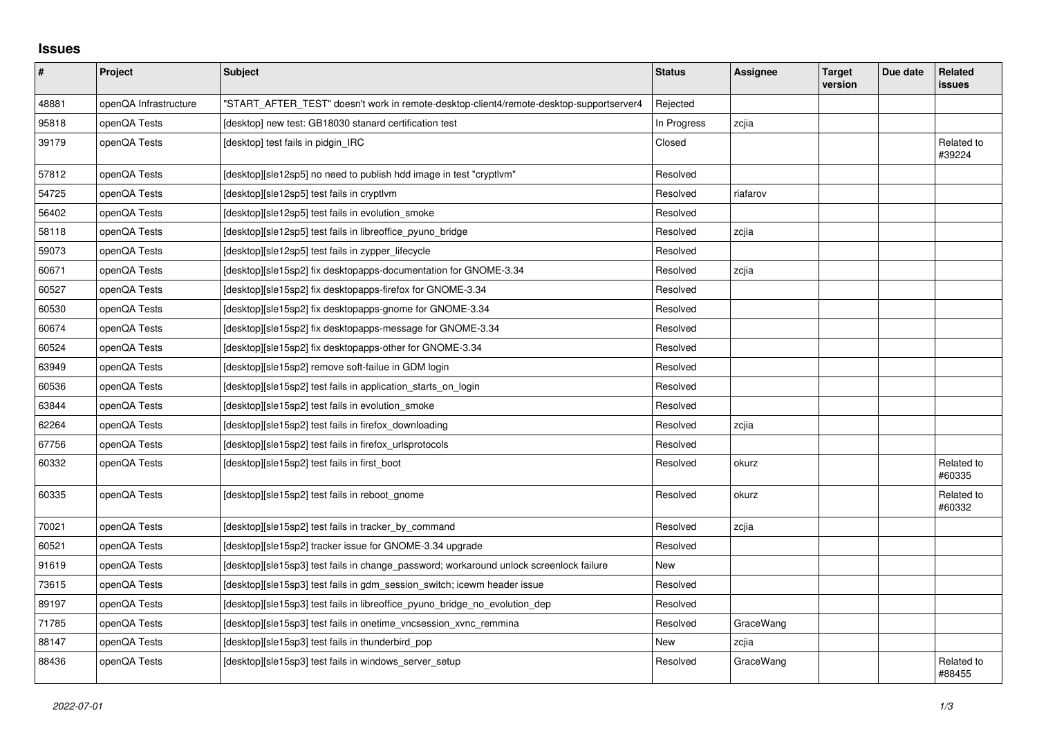## **Issues**

| $\sharp$ | Project               | <b>Subject</b>                                                                          | <b>Status</b> | <b>Assignee</b> | <b>Target</b><br>version | Due date | Related<br>issues    |
|----------|-----------------------|-----------------------------------------------------------------------------------------|---------------|-----------------|--------------------------|----------|----------------------|
| 48881    | openQA Infrastructure | 'START AFTER TEST" doesn't work in remote-desktop-client4/remote-desktop-supportserver4 | Rejected      |                 |                          |          |                      |
| 95818    | openQA Tests          | [desktop] new test: GB18030 stanard certification test                                  | In Progress   | zcjia           |                          |          |                      |
| 39179    | openQA Tests          | [desktop] test fails in pidgin IRC                                                      | Closed        |                 |                          |          | Related to<br>#39224 |
| 57812    | openQA Tests          | [desktop][sle12sp5] no need to publish hdd image in test "cryptlym"                     | Resolved      |                 |                          |          |                      |
| 54725    | openQA Tests          | [desktop][sle12sp5] test fails in cryptlvm                                              | Resolved      | riafarov        |                          |          |                      |
| 56402    | openQA Tests          | [desktop][sle12sp5] test fails in evolution smoke                                       | Resolved      |                 |                          |          |                      |
| 58118    | openQA Tests          | [desktop][sle12sp5] test fails in libreoffice pyuno bridge                              | Resolved      | zcjia           |                          |          |                      |
| 59073    | openQA Tests          | [desktop][sle12sp5] test fails in zypper_lifecycle                                      | Resolved      |                 |                          |          |                      |
| 60671    | openQA Tests          | [desktop][sle15sp2] fix desktopapps-documentation for GNOME-3.34                        | Resolved      | zcjia           |                          |          |                      |
| 60527    | openQA Tests          | [desktop][sle15sp2] fix desktopapps-firefox for GNOME-3.34                              | Resolved      |                 |                          |          |                      |
| 60530    | openQA Tests          | [desktop][sle15sp2] fix desktopapps-gnome for GNOME-3.34                                | Resolved      |                 |                          |          |                      |
| 60674    | openQA Tests          | [desktop][sle15sp2] fix desktopapps-message for GNOME-3.34                              | Resolved      |                 |                          |          |                      |
| 60524    | openQA Tests          | [desktop][sle15sp2] fix desktopapps-other for GNOME-3.34                                | Resolved      |                 |                          |          |                      |
| 63949    | openQA Tests          | [desktop][sle15sp2] remove soft-failue in GDM login                                     | Resolved      |                 |                          |          |                      |
| 60536    | openQA Tests          | [desktop][sle15sp2] test fails in application starts on login                           | Resolved      |                 |                          |          |                      |
| 63844    | openQA Tests          | [desktop][sle15sp2] test fails in evolution_smoke                                       | Resolved      |                 |                          |          |                      |
| 62264    | openQA Tests          | [desktop][sle15sp2] test fails in firefox_downloading                                   | Resolved      | zcjia           |                          |          |                      |
| 67756    | openQA Tests          | [desktop][sle15sp2] test fails in firefox urlsprotocols                                 | Resolved      |                 |                          |          |                      |
| 60332    | openQA Tests          | [desktop][sle15sp2] test fails in first_boot                                            | Resolved      | okurz           |                          |          | Related to<br>#60335 |
| 60335    | openQA Tests          | [desktop][sle15sp2] test fails in reboot_gnome                                          | Resolved      | okurz           |                          |          | Related to<br>#60332 |
| 70021    | openQA Tests          | [desktop][sle15sp2] test fails in tracker_by_command                                    | Resolved      | zcjia           |                          |          |                      |
| 60521    | openQA Tests          | [desktop][sle15sp2] tracker issue for GNOME-3.34 upgrade                                | Resolved      |                 |                          |          |                      |
| 91619    | openQA Tests          | [desktop][sle15sp3] test fails in change password; workaround unlock screenlock failure | New           |                 |                          |          |                      |
| 73615    | openQA Tests          | [desktop][sle15sp3] test fails in gdm_session_switch; icewm header issue                | Resolved      |                 |                          |          |                      |
| 89197    | openQA Tests          | [desktop][sle15sp3] test fails in libreoffice_pyuno_bridge_no_evolution_dep             | Resolved      |                 |                          |          |                      |
| 71785    | openQA Tests          | [desktop][sle15sp3] test fails in onetime_vncsession_xvnc_remmina                       | Resolved      | GraceWang       |                          |          |                      |
| 88147    | openQA Tests          | [desktop][sle15sp3] test fails in thunderbird pop                                       | New           | zcjia           |                          |          |                      |
| 88436    | openQA Tests          | [desktop][sle15sp3] test fails in windows_server_setup                                  | Resolved      | GraceWang       |                          |          | Related to<br>#88455 |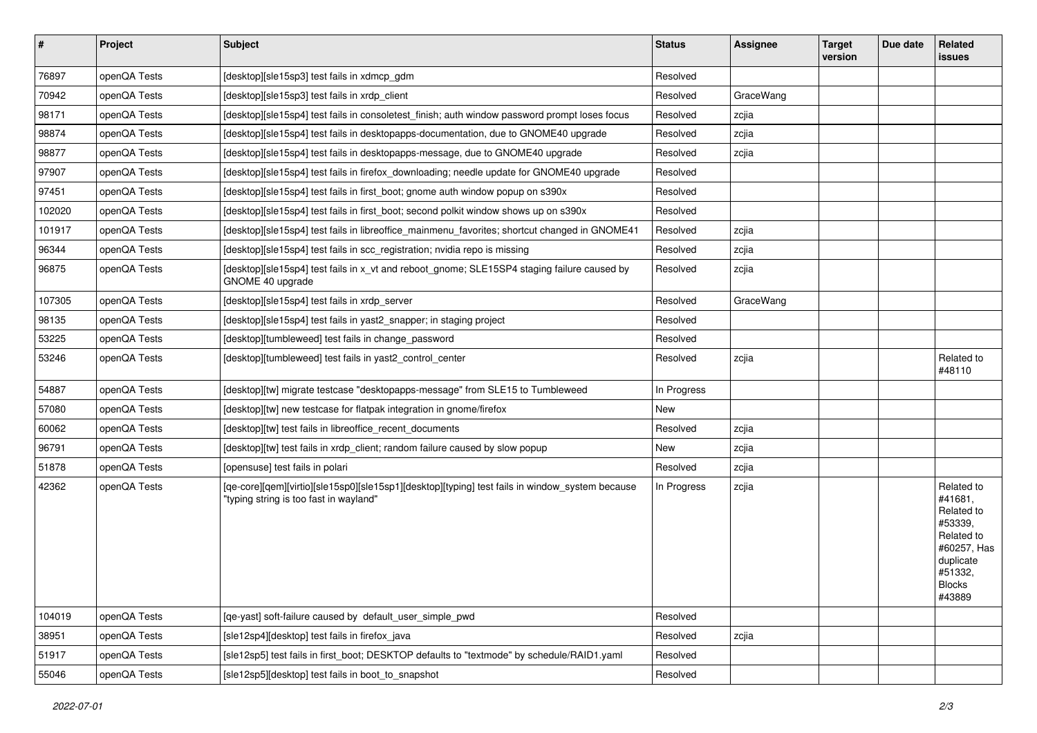| $\vert$ # | Project      | Subject                                                                                                                                   | <b>Status</b> | <b>Assignee</b> | <b>Target</b><br>version | Due date | Related<br>issues                                                                                                              |
|-----------|--------------|-------------------------------------------------------------------------------------------------------------------------------------------|---------------|-----------------|--------------------------|----------|--------------------------------------------------------------------------------------------------------------------------------|
| 76897     | openQA Tests | [desktop][sle15sp3] test fails in xdmcp_gdm                                                                                               | Resolved      |                 |                          |          |                                                                                                                                |
| 70942     | openQA Tests | [desktop][sle15sp3] test fails in xrdp client                                                                                             | Resolved      | GraceWang       |                          |          |                                                                                                                                |
| 98171     | openQA Tests | [desktop][sle15sp4] test fails in consoletest_finish; auth window password prompt loses focus                                             | Resolved      | zcjia           |                          |          |                                                                                                                                |
| 98874     | openQA Tests | [desktop][sle15sp4] test fails in desktopapps-documentation, due to GNOME40 upgrade                                                       | Resolved      | zcjia           |                          |          |                                                                                                                                |
| 98877     | openQA Tests | [desktop][sle15sp4] test fails in desktopapps-message, due to GNOME40 upgrade                                                             | Resolved      | zcjia           |                          |          |                                                                                                                                |
| 97907     | openQA Tests | [desktop][sle15sp4] test fails in firefox_downloading; needle update for GNOME40 upgrade                                                  | Resolved      |                 |                          |          |                                                                                                                                |
| 97451     | openQA Tests | [desktop][sle15sp4] test fails in first_boot; gnome auth window popup on s390x                                                            | Resolved      |                 |                          |          |                                                                                                                                |
| 102020    | openQA Tests | [desktop][sle15sp4] test fails in first boot; second polkit window shows up on s390x                                                      | Resolved      |                 |                          |          |                                                                                                                                |
| 101917    | openQA Tests | [desktop][sle15sp4] test fails in libreoffice_mainmenu_favorites; shortcut changed in GNOME41                                             | Resolved      | zcjia           |                          |          |                                                                                                                                |
| 96344     | openQA Tests | [desktop][sle15sp4] test fails in scc_registration; nvidia repo is missing                                                                | Resolved      | zcjia           |                          |          |                                                                                                                                |
| 96875     | openQA Tests | [desktop][sle15sp4] test fails in x_vt and reboot_gnome; SLE15SP4 staging failure caused by<br>GNOME 40 upgrade                           | Resolved      | zcjia           |                          |          |                                                                                                                                |
| 107305    | openQA Tests | [desktop][sle15sp4] test fails in xrdp_server                                                                                             | Resolved      | GraceWang       |                          |          |                                                                                                                                |
| 98135     | openQA Tests | [desktop][sle15sp4] test fails in yast2_snapper; in staging project                                                                       | Resolved      |                 |                          |          |                                                                                                                                |
| 53225     | openQA Tests | [desktop][tumbleweed] test fails in change password                                                                                       | Resolved      |                 |                          |          |                                                                                                                                |
| 53246     | openQA Tests | [desktop][tumbleweed] test fails in yast2_control_center                                                                                  | Resolved      | zcjia           |                          |          | Related to<br>#48110                                                                                                           |
| 54887     | openQA Tests | [desktop][tw] migrate testcase "desktopapps-message" from SLE15 to Tumbleweed                                                             | In Progress   |                 |                          |          |                                                                                                                                |
| 57080     | openQA Tests | [desktop][tw] new testcase for flatpak integration in gnome/firefox                                                                       | New           |                 |                          |          |                                                                                                                                |
| 60062     | openQA Tests | [desktop][tw] test fails in libreoffice_recent_documents                                                                                  | Resolved      | zcjia           |                          |          |                                                                                                                                |
| 96791     | openQA Tests | [desktop][tw] test fails in xrdp_client; random failure caused by slow popup                                                              | New           | zcjia           |                          |          |                                                                                                                                |
| 51878     | openQA Tests | [opensuse] test fails in polari                                                                                                           | Resolved      | zcjia           |                          |          |                                                                                                                                |
| 42362     | openQA Tests | [qe-core][qem][virtio][sle15sp0][sle15sp1][desktop][typing] test fails in window_system because<br>"typing string is too fast in wayland" | In Progress   | zcjia           |                          |          | Related to<br>#41681,<br>Related to<br>#53339,<br>Related to<br>#60257, Has<br>duplicate<br>#51332,<br><b>Blocks</b><br>#43889 |
| 104019    | openQA Tests | [qe-yast] soft-failure caused by default user simple pwd                                                                                  | Resolved      |                 |                          |          |                                                                                                                                |
| 38951     | openQA Tests | [sle12sp4][desktop] test fails in firefox_java                                                                                            | Resolved      | zcjia           |                          |          |                                                                                                                                |
| 51917     | openQA Tests | [sle12sp5] test fails in first_boot; DESKTOP defaults to "textmode" by schedule/RAID1.yaml                                                | Resolved      |                 |                          |          |                                                                                                                                |
| 55046     | openQA Tests | [sle12sp5][desktop] test fails in boot_to_snapshot                                                                                        | Resolved      |                 |                          |          |                                                                                                                                |